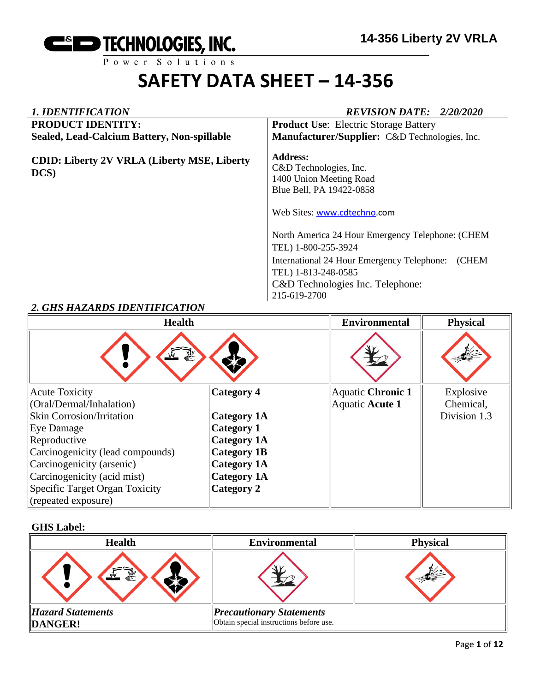

| <b>1. IDENTIFICATION</b>                                   | <b>REVISION DATE: 2/20/2020</b>                                                                                                                                                                                                                                                                                                              |  |  |
|------------------------------------------------------------|----------------------------------------------------------------------------------------------------------------------------------------------------------------------------------------------------------------------------------------------------------------------------------------------------------------------------------------------|--|--|
| <b>PRODUCT IDENTITY:</b>                                   | <b>Product Use:</b> Electric Storage Battery                                                                                                                                                                                                                                                                                                 |  |  |
| Sealed, Lead-Calcium Battery, Non-spillable                | Manufacturer/Supplier: C&D Technologies, Inc.                                                                                                                                                                                                                                                                                                |  |  |
| <b>CDID: Liberty 2V VRLA (Liberty MSE, Liberty</b><br>DCS) | <b>Address:</b><br>C&D Technologies, Inc.<br>1400 Union Meeting Road<br>Blue Bell, PA 19422-0858<br>Web Sites: www.cdtechno.com<br>North America 24 Hour Emergency Telephone: (CHEM<br>TEL) 1-800-255-3924<br>(CHEM<br>International 24 Hour Emergency Telephone:<br>TEL) 1-813-248-0585<br>C&D Technologies Inc. Telephone:<br>215-619-2700 |  |  |

## *2. GHS HAZARDS IDENTIFICATION*

| <b>Health</b>                         |                    | <b>Environmental</b> | <b>Physical</b> |
|---------------------------------------|--------------------|----------------------|-----------------|
|                                       |                    |                      |                 |
| <b>Acute Toxicity</b>                 | <b>Category 4</b>  | Aquatic Chronic 1    | Explosive       |
| (Oral/Dermal/Inhalation)              |                    | Aquatic Acute 1      | Chemical,       |
| <b>Skin Corrosion/Irritation</b>      | <b>Category 1A</b> |                      | Division 1.3    |
| Eye Damage                            | <b>Category 1</b>  |                      |                 |
| Reproductive                          | <b>Category 1A</b> |                      |                 |
| Carcinogenicity (lead compounds)      | <b>Category 1B</b> |                      |                 |
| Carcinogenicity (arsenic)             | <b>Category 1A</b> |                      |                 |
| Carcinogenicity (acid mist)           | <b>Category 1A</b> |                      |                 |
| <b>Specific Target Organ Toxicity</b> | <b>Category 2</b>  |                      |                 |
| (repeated exposure)                   |                    |                      |                 |

#### **GHS Label:**

| <b>Health</b>                       | <b>Environmental</b>                                                       | <b>Physical</b> |
|-------------------------------------|----------------------------------------------------------------------------|-----------------|
| 系                                   |                                                                            |                 |
| <b>Hazard Statements</b><br>DANGER! | <b>Precautionary Statements</b><br>Obtain special instructions before use. |                 |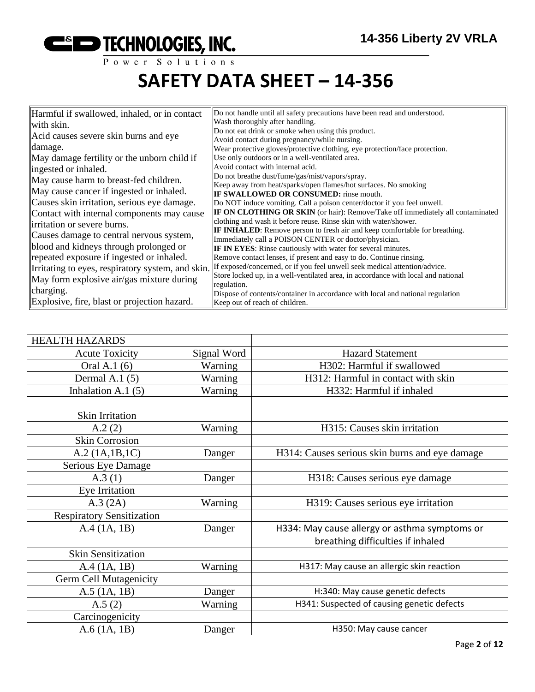

| Harmful if swallowed, inhaled, or in contact      | Do not handle until all safety precautions have been read and understood.                                        |
|---------------------------------------------------|------------------------------------------------------------------------------------------------------------------|
| with skin.                                        | Wash thoroughly after handling.                                                                                  |
| Acid causes severe skin burns and eye             | Do not eat drink or smoke when using this product.                                                               |
| damage.                                           | Avoid contact during pregnancy/while nursing.                                                                    |
|                                                   | Wear protective gloves/protective clothing, eye protection/face protection.                                      |
| May damage fertility or the unborn child if       | Use only outdoors or in a well-ventilated area.                                                                  |
| ingested or inhaled.                              | Avoid contact with internal acid.                                                                                |
| May cause harm to breast-fed children.            | Do not breathe dust/fume/gas/mist/vapors/spray.                                                                  |
| May cause cancer if ingested or inhaled.          | Keep away from heat/sparks/open flames/hot surfaces. No smoking<br><b>IF SWALLOWED OR CONSUMED:</b> rinse mouth. |
| Causes skin irritation, serious eye damage.       | Do NOT induce vomiting. Call a poison center/doctor if you feel unwell.                                          |
| Contact with internal components may cause        | <b>IF ON CLOTHING OR SKIN</b> (or hair): Remove/Take off immediately all contaminated                            |
|                                                   | clothing and wash it before reuse. Rinse skin with water/shower.                                                 |
| irritation or severe burns.                       | <b>IF INHALED:</b> Remove person to fresh air and keep comfortable for breathing.                                |
| Causes damage to central nervous system,          | Immediately call a POISON CENTER or doctor/physician.                                                            |
| blood and kidneys through prolonged or            | IF IN EYES: Rinse cautiously with water for several minutes.                                                     |
| repeated exposure if ingested or inhaled.         | Remove contact lenses, if present and easy to do. Continue rinsing.                                              |
| Irritating to eyes, respiratory system, and skin. | If exposed/concerned, or if you feel unwell seek medical attention/advice.                                       |
| May form explosive air/gas mixture during         | Store locked up, in a well-ventilated area, in accordance with local and national                                |
|                                                   | regulation.                                                                                                      |
| charging.                                         | Dispose of contents/container in accordance with local and national regulation                                   |
| Explosive, fire, blast or projection hazard.      | Keep out of reach of children.                                                                                   |

| <b>HEALTH HAZARDS</b>            |             |                                                |
|----------------------------------|-------------|------------------------------------------------|
| <b>Acute Toxicity</b>            | Signal Word | <b>Hazard Statement</b>                        |
| Oral A.1 (6)                     | Warning     | H302: Harmful if swallowed                     |
| Dermal A.1 $(5)$                 | Warning     | H312: Harmful in contact with skin             |
| Inhalation A.1 (5)               | Warning     | H332: Harmful if inhaled                       |
|                                  |             |                                                |
| <b>Skin Irritation</b>           |             |                                                |
| A.2(2)                           | Warning     | H315: Causes skin irritation                   |
| <b>Skin Corrosion</b>            |             |                                                |
| A.2 (1A.1B.1C)                   | Danger      | H314: Causes serious skin burns and eye damage |
| Serious Eye Damage               |             |                                                |
| A.3(1)                           | Danger      | H318: Causes serious eye damage                |
| Eye Irritation                   |             |                                                |
| A.3 (2A)                         | Warning     | H319: Causes serious eye irritation            |
| <b>Respiratory Sensitization</b> |             |                                                |
| A.4(1A, 1B)                      | Danger      | H334: May cause allergy or asthma symptoms or  |
|                                  |             | breathing difficulties if inhaled              |
| <b>Skin Sensitization</b>        |             |                                                |
| A.4 (1A, 1B)                     | Warning     | H317: May cause an allergic skin reaction      |
| Germ Cell Mutagenicity           |             |                                                |
| $A.5$ (1A, 1B)                   | Danger      | H:340: May cause genetic defects               |
| A.5(2)                           | Warning     | H341: Suspected of causing genetic defects     |
| Carcinogenicity                  |             |                                                |
| A.6(1A, 1B)                      | Danger      | H350: May cause cancer                         |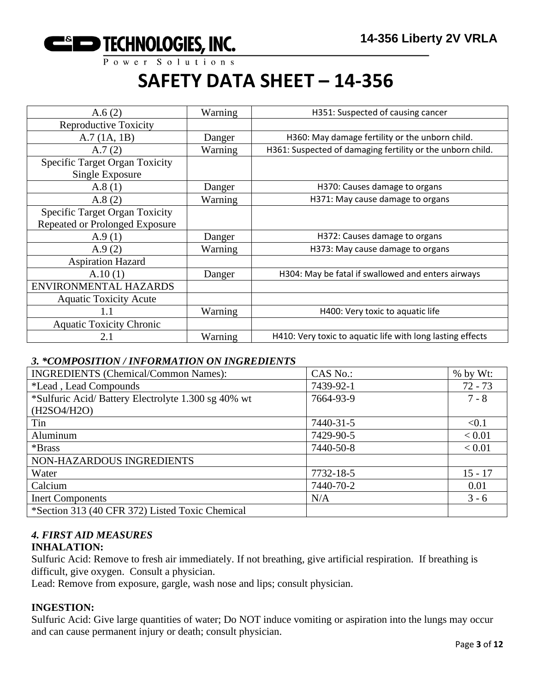

| A.6(2)                                | Warning | H351: Suspected of causing cancer                          |
|---------------------------------------|---------|------------------------------------------------------------|
| <b>Reproductive Toxicity</b>          |         |                                                            |
| A.7(1A, 1B)                           | Danger  | H360: May damage fertility or the unborn child.            |
| A.7(2)                                | Warning | H361: Suspected of damaging fertility or the unborn child. |
| <b>Specific Target Organ Toxicity</b> |         |                                                            |
| Single Exposure                       |         |                                                            |
| A.8(1)                                | Danger  | H370: Causes damage to organs                              |
| A.8(2)                                | Warning | H371: May cause damage to organs                           |
| <b>Specific Target Organ Toxicity</b> |         |                                                            |
| Repeated or Prolonged Exposure        |         |                                                            |
| A.9(1)                                | Danger  | H372: Causes damage to organs                              |
| A.9(2)                                | Warning | H373: May cause damage to organs                           |
| <b>Aspiration Hazard</b>              |         |                                                            |
| A.10(1)                               | Danger  | H304: May be fatal if swallowed and enters airways         |
| ENVIRONMENTAL HAZARDS                 |         |                                                            |
| <b>Aquatic Toxicity Acute</b>         |         |                                                            |
| 1.1                                   | Warning | H400: Very toxic to aquatic life                           |
| <b>Aquatic Toxicity Chronic</b>       |         |                                                            |
| 2.1                                   | Warning | H410: Very toxic to aquatic life with long lasting effects |

#### *3. \*COMPOSITION / INFORMATION ON INGREDIENTS*

| <b>INGREDIENTS (Chemical/Common Names):</b>         | CAS No.:  | $%$ by Wt: |
|-----------------------------------------------------|-----------|------------|
| *Lead, Lead Compounds                               | 7439-92-1 | $72 - 73$  |
| *Sulfuric Acid/ Battery Electrolyte 1.300 sg 40% wt | 7664-93-9 | $7 - 8$    |
| (H2SO4/H2O)                                         |           |            |
| Tin                                                 | 7440-31-5 | < 0.1      |
| Aluminum                                            | 7429-90-5 | < 0.01     |
| *Brass                                              | 7440-50-8 | < 0.01     |
| NON-HAZARDOUS INGREDIENTS                           |           |            |
| Water                                               | 7732-18-5 | $15 - 17$  |
| Calcium                                             | 7440-70-2 | 0.01       |
| <b>Inert Components</b>                             | N/A       | $3 - 6$    |
| *Section 313 (40 CFR 372) Listed Toxic Chemical     |           |            |

## *4. FIRST AID MEASURES*

## **INHALATION:**

Sulfuric Acid: Remove to fresh air immediately. If not breathing, give artificial respiration. If breathing is difficult, give oxygen. Consult a physician.

Lead: Remove from exposure, gargle, wash nose and lips; consult physician.

## **INGESTION:**

Sulfuric Acid: Give large quantities of water; Do NOT induce vomiting or aspiration into the lungs may occur and can cause permanent injury or death; consult physician.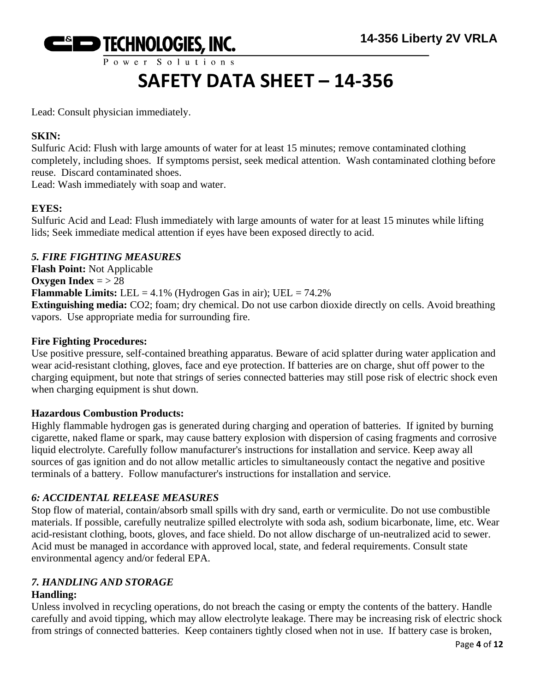

Lead: Consult physician immediately.

## **SKIN:**

Sulfuric Acid: Flush with large amounts of water for at least 15 minutes; remove contaminated clothing completely, including shoes. If symptoms persist, seek medical attention. Wash contaminated clothing before reuse. Discard contaminated shoes.

Lead: Wash immediately with soap and water.

## **EYES:**

Sulfuric Acid and Lead: Flush immediately with large amounts of water for at least 15 minutes while lifting lids; Seek immediate medical attention if eyes have been exposed directly to acid.

## *5. FIRE FIGHTING MEASURES*

**Flash Point:** Not Applicable **Oxygen Index** =  $> 28$ **Flammable Limits:** LEL =  $4.1\%$  (Hydrogen Gas in air); UEL =  $74.2\%$ **Extinguishing media:** CO2; foam; dry chemical. Do not use carbon dioxide directly on cells. Avoid breathing vapors. Use appropriate media for surrounding fire.

## **Fire Fighting Procedures:**

Use positive pressure, self-contained breathing apparatus. Beware of acid splatter during water application and wear acid-resistant clothing, gloves, face and eye protection. If batteries are on charge, shut off power to the charging equipment, but note that strings of series connected batteries may still pose risk of electric shock even when charging equipment is shut down.

## **Hazardous Combustion Products:**

Highly flammable hydrogen gas is generated during charging and operation of batteries. If ignited by burning cigarette, naked flame or spark, may cause battery explosion with dispersion of casing fragments and corrosive liquid electrolyte. Carefully follow manufacturer's instructions for installation and service. Keep away all sources of gas ignition and do not allow metallic articles to simultaneously contact the negative and positive terminals of a battery. Follow manufacturer's instructions for installation and service.

## *6: ACCIDENTAL RELEASE MEASURES*

Stop flow of material, contain/absorb small spills with dry sand, earth or vermiculite. Do not use combustible materials. If possible, carefully neutralize spilled electrolyte with soda ash, sodium bicarbonate, lime, etc. Wear acid-resistant clothing, boots, gloves, and face shield. Do not allow discharge of un-neutralized acid to sewer. Acid must be managed in accordance with approved local, state, and federal requirements. Consult state environmental agency and/or federal EPA.

## *7. HANDLING AND STORAGE*

## **Handling:**

Unless involved in recycling operations, do not breach the casing or empty the contents of the battery. Handle carefully and avoid tipping, which may allow electrolyte leakage. There may be increasing risk of electric shock from strings of connected batteries. Keep containers tightly closed when not in use. If battery case is broken,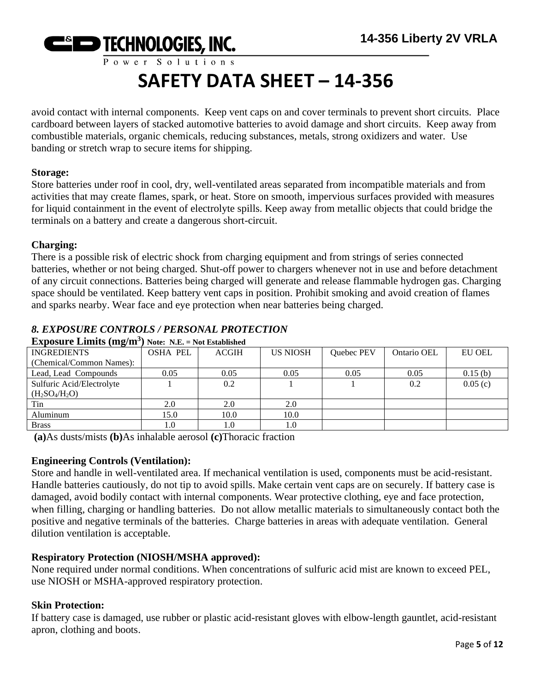

avoid contact with internal components. Keep vent caps on and cover terminals to prevent short circuits. Place cardboard between layers of stacked automotive batteries to avoid damage and short circuits. Keep away from combustible materials, organic chemicals, reducing substances, metals, strong oxidizers and water. Use banding or stretch wrap to secure items for shipping.

### **Storage:**

Store batteries under roof in cool, dry, well-ventilated areas separated from incompatible materials and from activities that may create flames, spark, or heat. Store on smooth, impervious surfaces provided with measures for liquid containment in the event of electrolyte spills. Keep away from metallic objects that could bridge the terminals on a battery and create a dangerous short-circuit.

## **Charging:**

There is a possible risk of electric shock from charging equipment and from strings of series connected batteries, whether or not being charged. Shut-off power to chargers whenever not in use and before detachment of any circuit connections. Batteries being charged will generate and release flammable hydrogen gas. Charging space should be ventilated. Keep battery vent caps in position. Prohibit smoking and avoid creation of flames and sparks nearby. Wear face and eye protection when near batteries being charged.

## *8. EXPOSURE CONTROLS / PERSONAL PROTECTION*

| $\mathbf{L}$ approved $\mathbf{L}$ $\mathbf{L}$ and $\mathbf{L}$ and $\mathbf{L}$ | $110W$ . $11L$ . $-110V$ Established |              |                 |            |             |               |
|-----------------------------------------------------------------------------------|--------------------------------------|--------------|-----------------|------------|-------------|---------------|
| <b>INGREDIENTS</b>                                                                | <b>OSHA PEL</b>                      | <b>ACGIH</b> | <b>US NIOSH</b> | Quebec PEV | Ontario OEL | <b>EU OEL</b> |
| (Chemical/Common Names):                                                          |                                      |              |                 |            |             |               |
| Lead, Lead Compounds                                                              | 0.05                                 | 0.05         | 0.05            | 0.05       | 0.05        | 0.15(b)       |
| Sulfuric Acid/Electrolyte                                                         |                                      | 0.2          |                 |            | 0.2         | 0.05(c)       |
| $(H_2SO_4/H_2O)$                                                                  |                                      |              |                 |            |             |               |
| Tin                                                                               | 2.0                                  | 2.0          | 2.0             |            |             |               |
| Aluminum                                                                          | 15.0                                 | 10.0         | 10.0            |            |             |               |
| <b>Brass</b>                                                                      | 1.0                                  | 1.0          | I.U             |            |             |               |

### **Exposure Limits (mg/m<sup>3</sup> ) Note: N.E. = Not Established**

**(a)**As dusts/mists **(b)**As inhalable aerosol **(c)**Thoracic fraction

### **Engineering Controls (Ventilation):**

Store and handle in well-ventilated area. If mechanical ventilation is used, components must be acid-resistant. Handle batteries cautiously, do not tip to avoid spills. Make certain vent caps are on securely. If battery case is damaged, avoid bodily contact with internal components. Wear protective clothing, eye and face protection, when filling, charging or handling batteries. Do not allow metallic materials to simultaneously contact both the positive and negative terminals of the batteries. Charge batteries in areas with adequate ventilation. General dilution ventilation is acceptable.

## **Respiratory Protection (NIOSH/MSHA approved):**

None required under normal conditions. When concentrations of sulfuric acid mist are known to exceed PEL, use NIOSH or MSHA-approved respiratory protection.

#### **Skin Protection:**

If battery case is damaged, use rubber or plastic acid-resistant gloves with elbow-length gauntlet, acid-resistant apron, clothing and boots.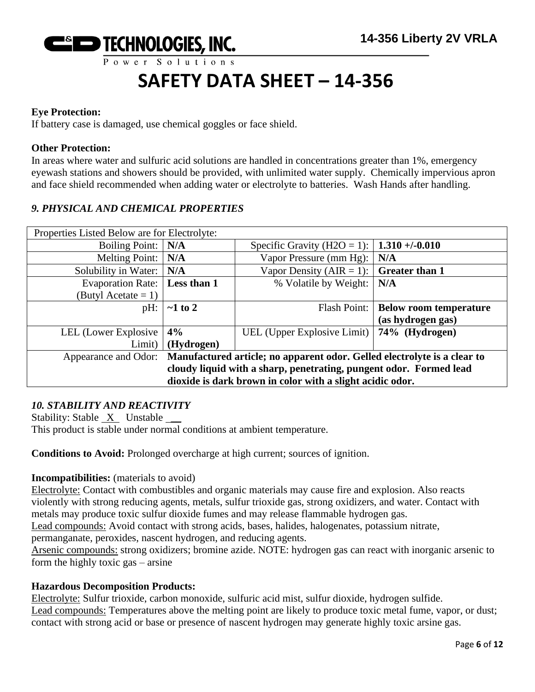

### **Eye Protection:**

If battery case is damaged, use chemical goggles or face shield.

#### **Other Protection:**

In areas where water and sulfuric acid solutions are handled in concentrations greater than 1%, emergency eyewash stations and showers should be provided, with unlimited water supply. Chemically impervious apron and face shield recommended when adding water or electrolyte to batteries. Wash Hands after handling.

## *9. PHYSICAL AND CHEMICAL PROPERTIES*

| Properties Listed Below are for Electrolyte:                                                     |               |                                              |                                       |
|--------------------------------------------------------------------------------------------------|---------------|----------------------------------------------|---------------------------------------|
| Boiling Point:                                                                                   | N/A           | Specific Gravity (H2O = 1):                  | $1.310 + (-0.010$                     |
| Melting Point:                                                                                   | N/A           | Vapor Pressure (mm Hg):                      | N/A                                   |
| Solubility in Water:                                                                             | N/A           | Vapor Density (AIR = 1):                     | <b>Greater than 1</b>                 |
| Evaporation Rate:   Less than 1                                                                  |               | % Volatile by Weight:                        | N/A                                   |
| (Butyl Acetate $= 1$ )                                                                           |               |                                              |                                       |
| $pH$ :                                                                                           | $\sim$ 1 to 2 |                                              | Flash Point:   Below room temperature |
|                                                                                                  |               |                                              | (as hydrogen gas)                     |
| LEL (Lower Explosive                                                                             | 4%            | UEL (Upper Explosive Limit)   74% (Hydrogen) |                                       |
| Limit)                                                                                           | (Hydrogen)    |                                              |                                       |
| Manufactured article; no apparent odor. Gelled electrolyte is a clear to<br>Appearance and Odor: |               |                                              |                                       |
| cloudy liquid with a sharp, penetrating, pungent odor. Formed lead                               |               |                                              |                                       |
| dioxide is dark brown in color with a slight acidic odor.                                        |               |                                              |                                       |

## *10. STABILITY AND REACTIVITY*

Stability: Stable X Unstable \_\_ This product is stable under normal conditions at ambient temperature.

**Conditions to Avoid:** Prolonged overcharge at high current; sources of ignition.

## **Incompatibilities:** (materials to avoid)

Electrolyte: Contact with combustibles and organic materials may cause fire and explosion. Also reacts violently with strong reducing agents, metals, sulfur trioxide gas, strong oxidizers, and water. Contact with metals may produce toxic sulfur dioxide fumes and may release flammable hydrogen gas.

Lead compounds: Avoid contact with strong acids, bases, halides, halogenates, potassium nitrate,

permanganate, peroxides, nascent hydrogen, and reducing agents.

Arsenic compounds: strong oxidizers; bromine azide. NOTE: hydrogen gas can react with inorganic arsenic to form the highly toxic gas – arsine

## **Hazardous Decomposition Products:**

Electrolyte: Sulfur trioxide, carbon monoxide, sulfuric acid mist, sulfur dioxide, hydrogen sulfide. Lead compounds: Temperatures above the melting point are likely to produce toxic metal fume, vapor, or dust; contact with strong acid or base or presence of nascent hydrogen may generate highly toxic arsine gas.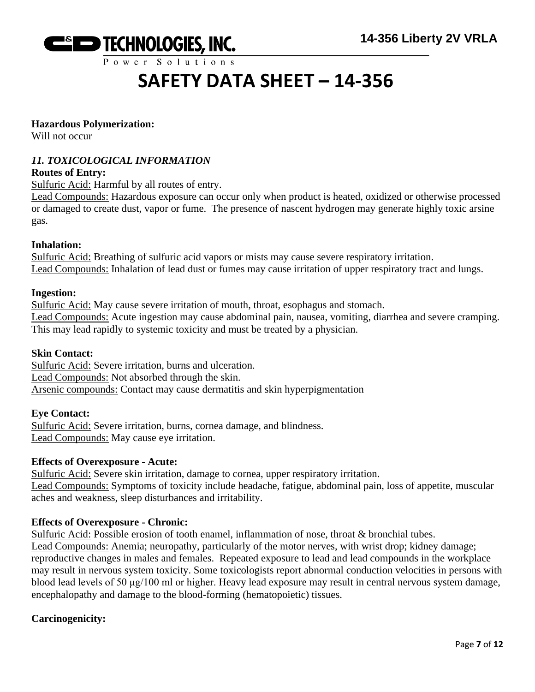



# **SAFETY DATA SHEET – 14-356**

#### **Hazardous Polymerization:**

Will not occur

## *11. TOXICOLOGICAL INFORMATION*

#### **Routes of Entry:**

Sulfuric Acid: Harmful by all routes of entry.

Lead Compounds: Hazardous exposure can occur only when product is heated, oxidized or otherwise processed or damaged to create dust, vapor or fume. The presence of nascent hydrogen may generate highly toxic arsine gas.

#### **Inhalation:**

Sulfuric Acid: Breathing of sulfuric acid vapors or mists may cause severe respiratory irritation. Lead Compounds: Inhalation of lead dust or fumes may cause irritation of upper respiratory tract and lungs.

#### **Ingestion:**

Sulfuric Acid: May cause severe irritation of mouth, throat, esophagus and stomach. Lead Compounds: Acute ingestion may cause abdominal pain, nausea, vomiting, diarrhea and severe cramping. This may lead rapidly to systemic toxicity and must be treated by a physician.

#### **Skin Contact:**

Sulfuric Acid: Severe irritation, burns and ulceration. Lead Compounds: Not absorbed through the skin. Arsenic compounds: Contact may cause dermatitis and skin hyperpigmentation

#### **Eye Contact:**

Sulfuric Acid: Severe irritation, burns, cornea damage, and blindness. Lead Compounds: May cause eye irritation.

#### **Effects of Overexposure - Acute:**

Sulfuric Acid: Severe skin irritation, damage to cornea, upper respiratory irritation. Lead Compounds: Symptoms of toxicity include headache, fatigue, abdominal pain, loss of appetite, muscular aches and weakness, sleep disturbances and irritability.

#### **Effects of Overexposure - Chronic:**

Sulfuric Acid: Possible erosion of tooth enamel, inflammation of nose, throat & bronchial tubes. Lead Compounds: Anemia; neuropathy, particularly of the motor nerves, with wrist drop; kidney damage; reproductive changes in males and females. Repeated exposure to lead and lead compounds in the workplace may result in nervous system toxicity. Some toxicologists report abnormal conduction velocities in persons with blood lead levels of 50 μg/100 ml or higher. Heavy lead exposure may result in central nervous system damage, encephalopathy and damage to the blood-forming (hematopoietic) tissues.

#### **Carcinogenicity:**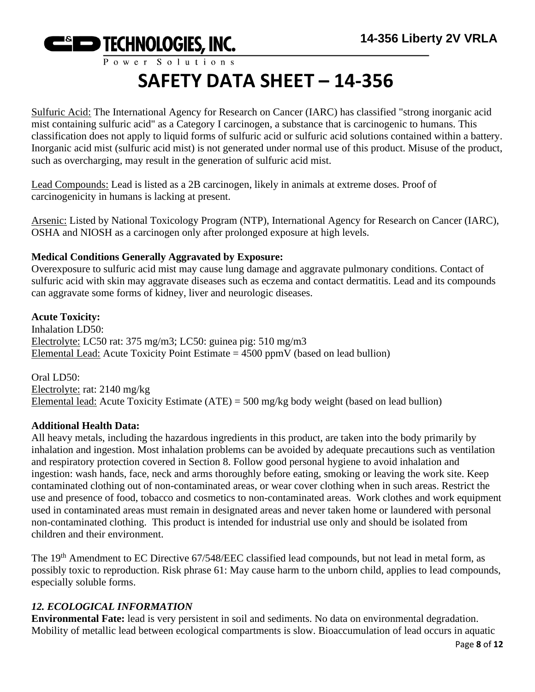

Sulfuric Acid: The International Agency for Research on Cancer (IARC) has classified "strong inorganic acid mist containing sulfuric acid" as a Category I carcinogen, a substance that is carcinogenic to humans. This classification does not apply to liquid forms of sulfuric acid or sulfuric acid solutions contained within a battery. Inorganic acid mist (sulfuric acid mist) is not generated under normal use of this product. Misuse of the product, such as overcharging, may result in the generation of sulfuric acid mist.

Lead Compounds: Lead is listed as a 2B carcinogen, likely in animals at extreme doses. Proof of carcinogenicity in humans is lacking at present.

Arsenic: Listed by National Toxicology Program (NTP), International Agency for Research on Cancer (IARC), OSHA and NIOSH as a carcinogen only after prolonged exposure at high levels.

## **Medical Conditions Generally Aggravated by Exposure:**

Overexposure to sulfuric acid mist may cause lung damage and aggravate pulmonary conditions. Contact of sulfuric acid with skin may aggravate diseases such as eczema and contact dermatitis. Lead and its compounds can aggravate some forms of kidney, liver and neurologic diseases.

## **Acute Toxicity:**

Inhalation LD50: Electrolyte: LC50 rat: 375 mg/m3; LC50: guinea pig: 510 mg/m3 Elemental Lead: Acute Toxicity Point Estimate =  $4500$  ppmV (based on lead bullion)

Oral LD50: Electrolyte: rat: 2140 mg/kg Elemental lead: Acute Toxicity Estimate (ATE) = 500 mg/kg body weight (based on lead bullion)

## **Additional Health Data:**

All heavy metals, including the hazardous ingredients in this product, are taken into the body primarily by inhalation and ingestion. Most inhalation problems can be avoided by adequate precautions such as ventilation and respiratory protection covered in Section 8. Follow good personal hygiene to avoid inhalation and ingestion: wash hands, face, neck and arms thoroughly before eating, smoking or leaving the work site. Keep contaminated clothing out of non-contaminated areas, or wear cover clothing when in such areas. Restrict the use and presence of food, tobacco and cosmetics to non-contaminated areas. Work clothes and work equipment used in contaminated areas must remain in designated areas and never taken home or laundered with personal non-contaminated clothing. This product is intended for industrial use only and should be isolated from children and their environment.

The 19<sup>th</sup> Amendment to EC Directive 67/548/EEC classified lead compounds, but not lead in metal form, as possibly toxic to reproduction. Risk phrase 61: May cause harm to the unborn child, applies to lead compounds, especially soluble forms.

## *12. ECOLOGICAL INFORMATION*

**Environmental Fate:** lead is very persistent in soil and sediments. No data on environmental degradation. Mobility of metallic lead between ecological compartments is slow. Bioaccumulation of lead occurs in aquatic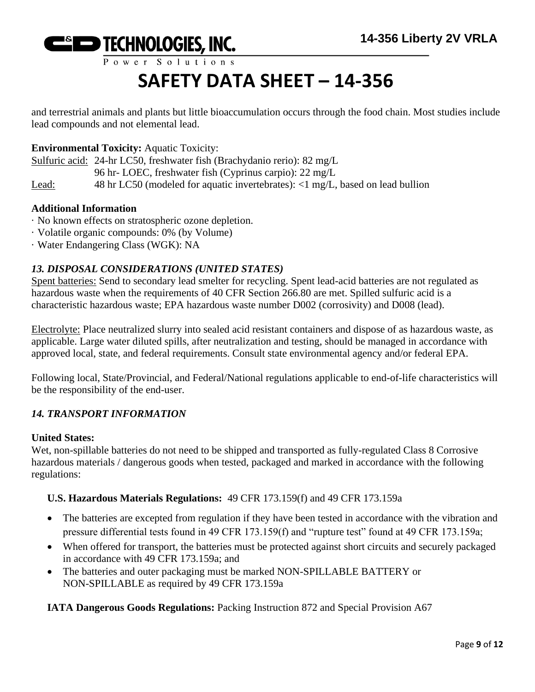

# **SAFETY DATA SHEET – 14-356**

and terrestrial animals and plants but little bioaccumulation occurs through the food chain. Most studies include lead compounds and not elemental lead.

### **Environmental Toxicity:** Aquatic Toxicity:

Sulfuric acid: 24-hr LC50, freshwater fish (Brachydanio rerio): 82 mg/L

96 hr- LOEC, freshwater fish (Cyprinus carpio): 22 mg/L

Lead: 48 hr LC50 (modeled for aquatic invertebrates): <1 mg/L, based on lead bullion

### **Additional Information**

- · No known effects on stratospheric ozone depletion.
- · Volatile organic compounds: 0% (by Volume)
- · Water Endangering Class (WGK): NA

## *13. DISPOSAL CONSIDERATIONS (UNITED STATES)*

Spent batteries: Send to secondary lead smelter for recycling. Spent lead-acid batteries are not regulated as hazardous waste when the requirements of 40 CFR Section 266.80 are met. Spilled sulfuric acid is a characteristic hazardous waste; EPA hazardous waste number D002 (corrosivity) and D008 (lead).

Electrolyte: Place neutralized slurry into sealed acid resistant containers and dispose of as hazardous waste, as applicable. Large water diluted spills, after neutralization and testing, should be managed in accordance with approved local, state, and federal requirements. Consult state environmental agency and/or federal EPA.

Following local, State/Provincial, and Federal/National regulations applicable to end-of-life characteristics will be the responsibility of the end-user.

## *14. TRANSPORT INFORMATION*

#### **United States:**

Wet, non-spillable batteries do not need to be shipped and transported as fully-regulated Class 8 Corrosive hazardous materials / dangerous goods when tested, packaged and marked in accordance with the following regulations:

#### **U.S. Hazardous Materials Regulations:** 49 CFR 173.159(f) and 49 CFR 173.159a

- The batteries are excepted from regulation if they have been tested in accordance with the vibration and pressure differential tests found in 49 CFR 173.159(f) and "rupture test" found at 49 CFR 173.159a;
- When offered for transport, the batteries must be protected against short circuits and securely packaged in accordance with 49 CFR 173.159a; and
- The batteries and outer packaging must be marked NON-SPILLABLE BATTERY or NON-SPILLABLE as required by 49 CFR 173.159a

**IATA Dangerous Goods Regulations:** Packing Instruction 872 and Special Provision A67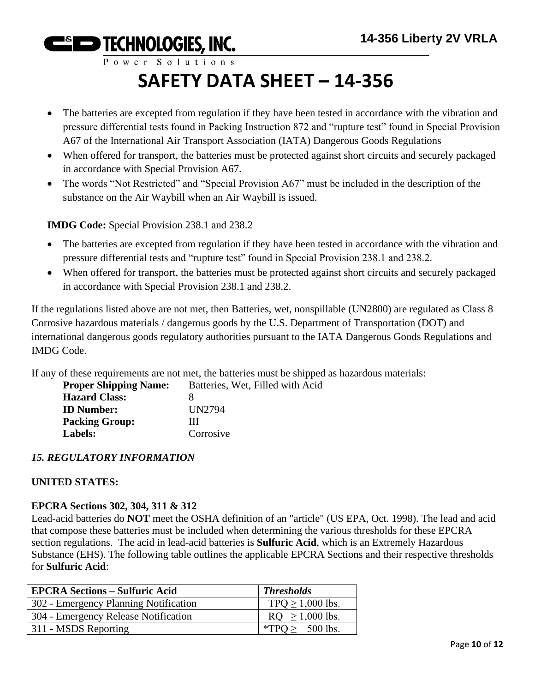# **SAFETY DATA SHEET – 14-356**

- The batteries are excepted from regulation if they have been tested in accordance with the vibration and pressure differential tests found in Packing Instruction 872 and "rupture test" found in Special Provision A67 of the International Air Transport Association (IATA) Dangerous Goods Regulations
- When offered for transport, the batteries must be protected against short circuits and securely packaged in accordance with Special Provision A67.
- The words "Not Restricted" and "Special Provision A67" must be included in the description of the substance on the Air Waybill when an Air Waybill is issued.

## **IMDG Code:** Special Provision 238.1 and 238.2

- The batteries are excepted from regulation if they have been tested in accordance with the vibration and pressure differential tests and "rupture test" found in Special Provision 238.1 and 238.2.
- When offered for transport, the batteries must be protected against short circuits and securely packaged in accordance with Special Provision 238.1 and 238.2.

If the regulations listed above are not met, then Batteries, wet, nonspillable (UN2800) are regulated as Class 8 Corrosive hazardous materials / dangerous goods by the U.S. Department of Transportation (DOT) and international dangerous goods regulatory authorities pursuant to the IATA Dangerous Goods Regulations and IMDG Code.

If any of these requirements are not met, the batteries must be shipped as hazardous materials:

| <b>Proper Shipping Name:</b> | Batteries, Wet, Filled with Acid |
|------------------------------|----------------------------------|
| <b>Hazard Class:</b>         |                                  |
| <b>ID</b> Number:            | UN2794                           |
| <b>Packing Group:</b>        | Ш                                |
| <b>Labels:</b>               | Corrosive                        |

## *15. REGULATORY INFORMATION*

## **UNITED STATES:**

#### **EPCRA Sections 302, 304, 311 & 312**

Lead-acid batteries do **NOT** meet the OSHA definition of an "article" (US EPA, Oct. 1998). The lead and acid that compose these batteries must be included when determining the various thresholds for these EPCRA section regulations. The acid in lead-acid batteries is **Sulfuric Acid**, which is an Extremely Hazardous Substance (EHS). The following table outlines the applicable EPCRA Sections and their respective thresholds for **Sulfuric Acid**:

| <b>EPCRA Sections – Sulfuric Acid</b> | <b>Thresholds</b>     |
|---------------------------------------|-----------------------|
| 302 - Emergency Planning Notification | TPQ $\geq$ 1,000 lbs. |
| 304 - Emergency Release Notification  | $RQ \ge 1,000$ lbs.   |
| 311 - MSDS Reporting                  | *TPQ $\geq$ 500 lbs.  |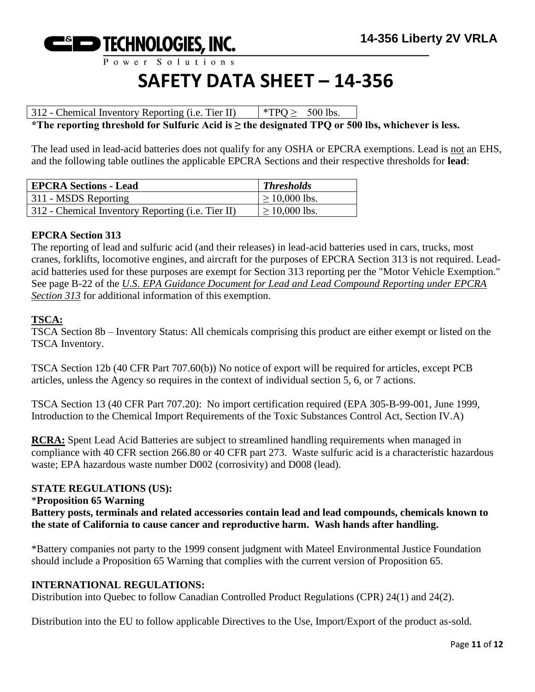

# **SAFETY DATA SHEET – 14-356**

### 312 - Chemical Inventory Reporting (i.e. Tier II)  $*TPQ \ge 500$  lbs.

**\*The reporting threshold for Sulfuric Acid is ≥ the designated TPQ or 500 lbs, whichever is less.**

The lead used in lead-acid batteries does not qualify for any OSHA or EPCRA exemptions. Lead is not an EHS, and the following table outlines the applicable EPCRA Sections and their respective thresholds for **lead**:

| <b>EPCRA Sections - Lead</b>                      | <b>Thresholds</b>  |
|---------------------------------------------------|--------------------|
| 311 - MSDS Reporting                              | $\geq 10,000$ lbs. |
| 312 - Chemical Inventory Reporting (i.e. Tier II) | $\geq 10,000$ lbs. |

### **EPCRA Section 313**

The reporting of lead and sulfuric acid (and their releases) in lead-acid batteries used in cars, trucks, most cranes, forklifts, locomotive engines, and aircraft for the purposes of EPCRA Section 313 is not required. Leadacid batteries used for these purposes are exempt for Section 313 reporting per the "Motor Vehicle Exemption." See page B-22 of the *U.S. EPA Guidance Document for Lead and Lead Compound Reporting under EPCRA Section 313* for additional information of this exemption.

### **TSCA:**

TSCA Section 8b – Inventory Status: All chemicals comprising this product are either exempt or listed on the TSCA Inventory.

TSCA Section 12b (40 CFR Part 707.60(b)) No notice of export will be required for articles, except PCB articles, unless the Agency so requires in the context of individual section 5, 6, or 7 actions.

TSCA Section 13 (40 CFR Part 707.20): No import certification required (EPA 305-B-99-001, June 1999, Introduction to the Chemical Import Requirements of the Toxic Substances Control Act, Section IV.A)

**RCRA:** Spent Lead Acid Batteries are subject to streamlined handling requirements when managed in compliance with 40 CFR section 266.80 or 40 CFR part 273. Waste sulfuric acid is a characteristic hazardous waste; EPA hazardous waste number D002 (corrosivity) and D008 (lead).

#### **STATE REGULATIONS (US):**

#### \***Proposition 65 Warning**

**Battery posts, terminals and related accessories contain lead and lead compounds, chemicals known to the state of California to cause cancer and reproductive harm. Wash hands after handling.**

\*Battery companies not party to the 1999 consent judgment with Mateel Environmental Justice Foundation should include a Proposition 65 Warning that complies with the current version of Proposition 65.

#### **INTERNATIONAL REGULATIONS:**

Distribution into Quebec to follow Canadian Controlled Product Regulations (CPR) 24(1) and 24(2).

Distribution into the EU to follow applicable Directives to the Use, Import/Export of the product as-sold.